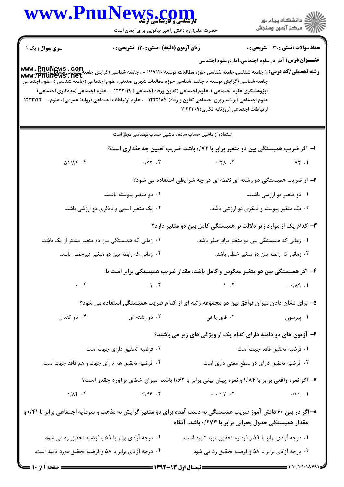ے<br>کا اللہ کا استگاہ پیام نور<br>کا اللہ میکز آزمون وسنجش

حضرت علی(ع): دانش راهبر نیکویی برای ایمان است

| <b>سری سوال :</b> یک ۱                             | زمان آزمون (دقیقه) : تستی : ۱۲۰ تشریحی : ۰                                                                                                                                                                                                                                                                                                                                                                                                                                                                              |                                                                                 | <b>تعداد سوالات : تستی : 30 ٪ تشریحی : 0</b>                 |
|----------------------------------------------------|-------------------------------------------------------------------------------------------------------------------------------------------------------------------------------------------------------------------------------------------------------------------------------------------------------------------------------------------------------------------------------------------------------------------------------------------------------------------------------------------------------------------------|---------------------------------------------------------------------------------|--------------------------------------------------------------|
|                                                    |                                                                                                                                                                                                                                                                                                                                                                                                                                                                                                                         |                                                                                 | <b>عنـــوان درس:</b> آمار در علوم اجتماعی،آماردرعلوم اجتماعی |
|                                                    | <b>www . PnuNews . COM</b><br><b>رشته تحصیلی/گد درس:</b> ،( جامعه شناسی،جامعه شناسی حوزه مطالعات توسعه ۱۱۱۷۱۲۰ - ، جامعه شناسی (گرایش جامعه شناسی<br>www : PnuNews . net<br>جامعه شناسی (گرایش توسعه )، جامعه شناسی حوزه مطالعات شهری صنعتی، علوم اجتماعی (جامعه شناسی )، علوم اجتماعی<br>(پژوهشگری علوم اجتماعی )، علوم اجتماعی (تعاون ورفاه اجتماعی ) ۱۲۲۲۰۱۹ - ، علوم اجتماعی (مددکاری اجتماعی)<br>علوم اجتماعی (برنامه ریزی اجتماعی تعاون و رفاه) ۱۲۲۲۱۸۴ - ، علوم ارتباطات اجتماعی (روابط عمومی)، علوم ، - ۱۲۲۲۱۴۲ | ارتباطات اجتماعی (روزنامه نگاری)۱۲۲۲۳۰۹                                         |                                                              |
|                                                    | استفاده از ماشین حساب ساده ، ماشین حساب مهندسی مجاز است                                                                                                                                                                                                                                                                                                                                                                                                                                                                 |                                                                                 |                                                              |
|                                                    |                                                                                                                                                                                                                                                                                                                                                                                                                                                                                                                         | ا– اگر ضریب همبستگی بین دو متغیر برابر با ۰/۷۲ باشد، ضریب تعیین چه مقداری است؟  |                                                              |
| $\Delta 1/\Delta f$ . $f$                          | $\cdot$ / $\gamma \gamma$ .                                                                                                                                                                                                                                                                                                                                                                                                                                                                                             | $\cdot$ / $\uparrow \wedge$ . $\uparrow$                                        | YY.1                                                         |
|                                                    |                                                                                                                                                                                                                                                                                                                                                                                                                                                                                                                         | ۲- از ضریب همبستگی دو رشته ای نقطه ای در چه شرایطی استفاده می شود؟              |                                                              |
|                                                    | ۰۲ دو متغیر پیوسته باشند.                                                                                                                                                                                                                                                                                                                                                                                                                                                                                               |                                                                                 | ۰۱ دو متغیر دو ارزشی باشند.                                  |
|                                                    | ۰۴ یک متغیر اسمی و دیگری دو ارزشی باشد.                                                                                                                                                                                                                                                                                                                                                                                                                                                                                 |                                                                                 | ۰۳ یک متغیر پیوسته و دیگری دو ارزشی باشد.                    |
|                                                    |                                                                                                                                                                                                                                                                                                                                                                                                                                                                                                                         | ۳– کدام یک از موارد زیر دلالت بر همبستگی کامل بین دو متغیر دارد؟                |                                                              |
| ۰۲ زمانی که همبستگی بین دو متغیر بیشتر از یک باشد. |                                                                                                                                                                                                                                                                                                                                                                                                                                                                                                                         | ۰۱ زمانی که همبستگی بین دو متغیر برابر صفر باشد.                                |                                                              |
| ۰۴ زمانی که رابطه بین دو متغیر غیرخطی باشد.        |                                                                                                                                                                                                                                                                                                                                                                                                                                                                                                                         | ۰۳ زمانی که رابطه بین دو متغیر خطی باشد.                                        |                                                              |
|                                                    |                                                                                                                                                                                                                                                                                                                                                                                                                                                                                                                         | ۴– اگر همبستگی بین دو متغیر معکوس و کامل باشد، مقدار ضریب همبستگی برابر است با: |                                                              |
| $\cdot$ $\cdot$ $\circ$                            | $-\gamma$ . T                                                                                                                                                                                                                                                                                                                                                                                                                                                                                                           | $\mathcal{N}$ . T                                                               | $-1/\lambda$ 9.1                                             |
|                                                    | ۵– برای نشان دادن میزان توافق بین دو مجموعه رتبه ای از کدام ضریب همبستگی استفاده می شود؟                                                                                                                                                                                                                                                                                                                                                                                                                                |                                                                                 |                                                              |
| ۰۴ تاو کندال                                       | ۰۳ دو رشته ای                                                                                                                                                                                                                                                                                                                                                                                                                                                                                                           |                                                                                 |                                                              |
|                                                    |                                                                                                                                                                                                                                                                                                                                                                                                                                                                                                                         | ۶– آزمون های دو دامنه دارای کدام یک از ویژگی های زیر می باشند؟                  |                                                              |
| ۰۲ فرضیه تحقیق دارای جهت است.                      |                                                                                                                                                                                                                                                                                                                                                                                                                                                                                                                         | ٠١ فرضيه تحقيق فاقد جهت است.                                                    |                                                              |
|                                                    | ۰۴ فرضیه تحقیق هم دارای جهت و هم فاقد جهت است.                                                                                                                                                                                                                                                                                                                                                                                                                                                                          |                                                                                 | ۰۳ فرضیه تحقیق دارای دو سطح معنی داری است.                   |
|                                                    | ۷- اگر نمره واقعی برابر با ۱/۸۴ و نمره پیش بینی برابر با ۱/۶۲ باشد، میزان خطای بر آورد چقدر است؟                                                                                                                                                                                                                                                                                                                                                                                                                        |                                                                                 |                                                              |
|                                                    |                                                                                                                                                                                                                                                                                                                                                                                                                                                                                                                         |                                                                                 |                                                              |
|                                                    | ۸– اگر در بین ۶۰ دانش آموز ضریب همبستگی به دست آمده برای دو متغیر گرایش به مذهب و سرمایه اجتماعی برابر با ۰/۴۱                                                                                                                                                                                                                                                                                                                                                                                                          | مقدار همبستگی جدول بحرانی برابر با ۰/۲۷۳ باشد، آنگاه:                           |                                                              |
| ۰۲ درجه آزادی برابر با ۵۹ و فرضیه تحقیق رد می شود. |                                                                                                                                                                                                                                                                                                                                                                                                                                                                                                                         | ۰۱ درجه آزادی برابر با ۵۹ و فرضیه تحقیق مورد تایید است.                         |                                                              |
|                                                    | ۰۴ درجه آزادی برابر با ۵۸ و فرضیه تحقیق مورد تایید است.                                                                                                                                                                                                                                                                                                                                                                                                                                                                 |                                                                                 | ۰۳ درجه آزادی برابر با ۵۸ و فرضیه تحقیق رد می شود.           |
| <b>: صفحه 1 از 10 ــــا</b>                        |                                                                                                                                                                                                                                                                                                                                                                                                                                                                                                                         |                                                                                 |                                                              |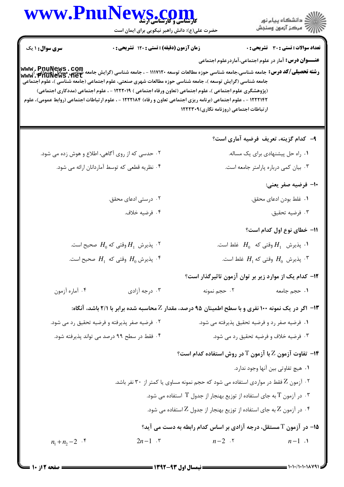

 $= 1.1.11.111141$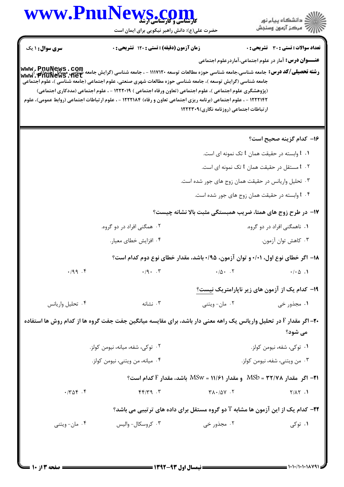حضرت علی(ع): دانش راهبر نیکویی برای ایمان است

| <b>سری سوال : ۱ یک</b>                                                                                                        | زمان آزمون (دقیقه) : تستی : ۱۲۰ تشریحی : ۰                                                                                                                                                                                                                                                                                                  |                                          | <b>تعداد سوالات : تستی : 30 ٪ تشریحی : 0</b>                                                                                                                                                                                                                       |  |
|-------------------------------------------------------------------------------------------------------------------------------|---------------------------------------------------------------------------------------------------------------------------------------------------------------------------------------------------------------------------------------------------------------------------------------------------------------------------------------------|------------------------------------------|--------------------------------------------------------------------------------------------------------------------------------------------------------------------------------------------------------------------------------------------------------------------|--|
|                                                                                                                               | جامعه شناسی (گرایش توسعه )، جامعه شناسی حوزه مطالعات شهری صنعتی، علوم اجتماعی (جامعه شناسی )، علوم اجتماعی<br>(پژوهشگری علوم اجتماعی )، علوم اجتماعی (تعاون ورفاه اجتماعی ) ۱۲۲۲۰۱۹ - ، علوم اجتماعی (مددکاری اجتماعی)<br>۱۲۲۲۱۴۲ - ، علوم اجتماعی (برنامه ریزی اجتماعی تعاون و رفاه) ۱۲۲۲۱۸۴ - ، علوم ارتباطات اجتماعی (روابط عمومی)، علوم | ارتباطات اجتماعی (روزنامه نگاری) ۱۲۲۲۳۰۹ | <b>عنـــوان درس:</b> آمار در علوم اجتماعی،آماردرعلوم اجتماعی<br><b>www , PnuNews . COm</b><br>Www , Cearey (م <b>شته تحصیلی/کد درس:</b> جامعه شناسی جواز مطالعات توسعه ۱۱۱۷۱۲۰ - ، جامعه شناسی (گرایش جامعه علمت Mww <b>. PnuNews . net</b><br>Www . PnuNews . net |  |
|                                                                                                                               |                                                                                                                                                                                                                                                                                                                                             |                                          | ۱۶– کدام گزینه صحیح است؟                                                                                                                                                                                                                                           |  |
| $t$ . $t$ وابسته در حقیقت همان $t$ تک نمونه ای است.                                                                           |                                                                                                                                                                                                                                                                                                                                             |                                          |                                                                                                                                                                                                                                                                    |  |
| ۰۲ مستقل در حقیقت همان t تک نمونه ای است.                                                                                     |                                                                                                                                                                                                                                                                                                                                             |                                          |                                                                                                                                                                                                                                                                    |  |
| ۰۳ تحلیل واریانس در حقیقت همان زوج های جور شده است.                                                                           |                                                                                                                                                                                                                                                                                                                                             |                                          |                                                                                                                                                                                                                                                                    |  |
| ۰۴ وابسته در حقیقت همان زوج های جور شده است.                                                                                  |                                                                                                                                                                                                                                                                                                                                             |                                          |                                                                                                                                                                                                                                                                    |  |
| ۱۷- در طرح زوج های همتا، ضریب همبستگی مثبت بالا نشانه چیست؟                                                                   |                                                                                                                                                                                                                                                                                                                                             |                                          |                                                                                                                                                                                                                                                                    |  |
|                                                                                                                               | ۲. همگنی افراد در دو گروه.                                                                                                                                                                                                                                                                                                                  |                                          | ۰۱ ناهمگنی افراد در دو گروه.                                                                                                                                                                                                                                       |  |
|                                                                                                                               | ۰۴ افزايش خطاي معيار.                                                                                                                                                                                                                                                                                                                       |                                          | ۰۳ کاهش توان آزمون.                                                                                                                                                                                                                                                |  |
|                                                                                                                               |                                                                                                                                                                                                                                                                                                                                             |                                          | ۱۸– اگر خطای نوع اول، ۰/۰۱ و توان آزمون، ۰/۹۵ باشد، مقدار خطای نوع دوم کدام است؟                                                                                                                                                                                   |  |
| .99.9                                                                                                                         | $\cdot$ /9 $\cdot$ . $\cdot$ $\cdot$                                                                                                                                                                                                                                                                                                        | $\cdot/\Delta$ . T                       | $\cdot / \cdot \vartriangle$ .                                                                                                                                                                                                                                     |  |
|                                                                                                                               |                                                                                                                                                                                                                                                                                                                                             |                                          | ۱۹– کدام یک از آزمون های زیر ناپارامتریک نیست؟                                                                                                                                                                                                                     |  |
| ۰۴ تحلیل واریانس                                                                                                              | ۰۳ نشانه                                                                                                                                                                                                                                                                                                                                    | ۰۲ مان-ویتنی                             | ۰۱ مجذور خی                                                                                                                                                                                                                                                        |  |
| +۲- اگر مقدار F در تحلیل واریانس یک راهه معنی دار باشد، برای مقایسه میانگین جفت جفت گروه ها از کدام روش ها استفاده<br>می شود؟ |                                                                                                                                                                                                                                                                                                                                             |                                          |                                                                                                                                                                                                                                                                    |  |
| ۰۲ توکی، شفه، میانه، نیومن کولز.                                                                                              |                                                                                                                                                                                                                                                                                                                                             |                                          | ۰۱ توکی، شفه، نیومن کولز.                                                                                                                                                                                                                                          |  |
| ۰۴ میانه، من ویتنی، نیومن کولز.                                                                                               |                                                                                                                                                                                                                                                                                                                                             |                                          | ۰۳ من ويتني، شفه، نيومن كولز.                                                                                                                                                                                                                                      |  |
|                                                                                                                               |                                                                                                                                                                                                                                                                                                                                             |                                          | ا۲- اگر مقدار ۳۲/۷۸ = MSb و مقدار ۱۱/۶۱ = MSw باشد، مقدار F کدام است؟                                                                                                                                                                                              |  |
| $\cdot$ / $\uparrow$ $\uparrow$ $\uparrow$ $\uparrow$                                                                         | $f(f)/f'g$ .                                                                                                                                                                                                                                                                                                                                | $Y \wedge \cdot / \Delta Y$ .            | $Y/\Lambda Y$ .                                                                                                                                                                                                                                                    |  |
| <b>۲۲</b> - کدام یک از این آزمون ها مشابه T دو گروه مستقل برای داده های ترتیبی می باشد؟                                       |                                                                                                                                                                                                                                                                                                                                             |                                          |                                                                                                                                                                                                                                                                    |  |
| ۰۴ مان-ویتنی                                                                                                                  | ۰۳ کروسکال- والیس                                                                                                                                                                                                                                                                                                                           | ۰۲ مجذور خی                              | ۰۱ توکی                                                                                                                                                                                                                                                            |  |
|                                                                                                                               |                                                                                                                                                                                                                                                                                                                                             |                                          |                                                                                                                                                                                                                                                                    |  |

ے<br>کا اللہ کا استگاہ پیام نور<br>کا اللہ میکز آزمون وسنجش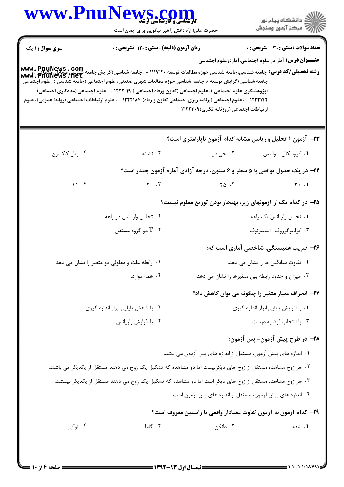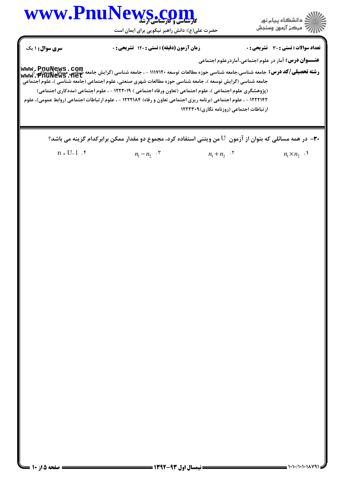



حضرت علي(ع): دانش راهبر نيكويي براي ايمان است

**عنــــوان درس:** آمار در علوم اجتماعی،آماردرعلوم اجتماعی **www , PnuNews , COm**<br>ر**شته تحصیلی/کد درس:** جامعه شناسی،جامعه شناسی حوزه مطالعات توسعه ۱۱۱۷۱۲۰ - ، جامعه شناسی (گرایش جامعه شباسی مسائل تعداد سوالات : تستي تشريحي زمان آزمون (دقيقه) : تستي تشريحي سري سوال & % (: %)(: ( '(: : : جامعه شناسي (گرايش توسعه )، جامعه شناسي حوزه مطالعات شهري صنعتي، علوم اجتماعي (جامعه شناسي )، علوم اجتماعي (پژوهشگری علوم اجتماعی )، علوم اجتماعی (تعاون ورفاه اجتماعی ) ۱۲۲۲۰۱۹ - ، علوم اجتماعی (مددکاری اجتماعی) ۱۲۲۲۱۴۲ - ، علوم اجتماعی (برنامه ریزی اجتماعی تعاون و رفاه) ۱۲۲۲۱۸۴ - ، علوم ارتباطات اجتماعی (روابط عمومی)، علوم ار تباطات اجتماعی (روزنامه نگاری) ۱۲۲۲۳۰۹ ۳۰ - در همه مسائلی که بتوان از آزمون  ${\rm U}$  من ویتنی استفاده کرد، مجموع دو مقدار ممکن برابرکدام گزینه می باشد؟  $n_1 \times n_2$ .  $n_1 - n_2$  .  $\mathbf{r}$   $n_1 + n_2$  .  $\mathbf{r}$   $n_1 \times n_2$  $n_1 - n_2$   $\cdot$   $\cdot$   $n_1 + n_2$   $\cdot$   $\cdot$  $n \times U-1$   $\cdot$   $\cdot$ **[www.PnuNews.net](http://pnunews.net)**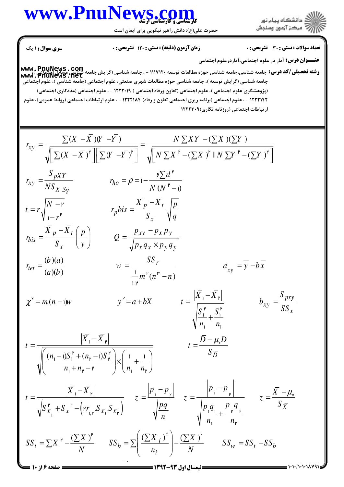#### كارشناسي و كارشناسي ارشد **[www.PnuNews.com](http://www.PnuNews.com)**

حضرت علي(ع): دانش راهبر نيكويي براي ايمان است



**عنــــوان درس:** آمار در علوم اجتماعی،آماردرعلوم اجتماعی ر**شته تحصيلي/كد درس:** جامعه شناسي،جامعه شناسي حوزه مطالعات توسعه ١١١٧١٢٠ - ، جامعه شناسي (گرايش جامعه <del>شنا</del>يت مسائل إجتماعي )،<br>ر**شته تحصيلي/كد درس:** جامعه شناسي،جامعه شناسي حوزه مطالعات توسعه ١١١٧١٢٠ - ، جامعه شناسي (گراي تعداد سوالات : تستي تشريحي زمان آزمون (دقيقه) : تستي تشريحي سري سوال & % (: %)(: ( '(: : : جامعه شناسي (گرايش توسعه )، جامعه شناسي حوزه مطالعات شهري صنعتي، علوم اجتماعي (جامعه شناسي )، علوم اجتماعي (پژوهشگری علوم اجتماعی )، علوم اجتماعی (تعاون ورفاه اجتماعی ) ۱۲۲۲۰۱۹ - ، علوم اجتماعی (مددکاری اجتماعی) ۱۲۲۲۱۴۲ - ، علوم اجتماعی (برنامه ریزی اجتماعی تعاون و رفاه) ۱۲۲۲۱۸۴ - ، علوم ارتباطات اجتماعی (روابط عمومی)، علوم ارتباطات اجتماعی (روزنامه نگاری)۲۲۲۳۰۹ . *Y*  $(X -\overline{X})(Y -\overline{Y})$   $N \sum XY -(\sum X)(\sum Y)$  $(X - \overline{X})^{\mathfrak{p}} \|\sum (Y - \overline{Y})^{\mathfrak{p}}\| \quad \sqrt{\|N\sum X^{\mathfrak{p}} - (\sum X)^{\mathfrak{p}}\|N\sum Y^{\mathfrak{p}} - (\sum Y)^{\mathfrak{p}}\|N\sum Y^{\mathfrak{p}}\|N\sum Y^{\mathfrak{p}}\|N\sum Y^{\mathfrak{p}}\|N\sum Y^{\mathfrak{p}}\|N\sum Y^{\mathfrak{p}}\|N\sum Y^{\mathfrak{p}}\|N\sum Y^{\mathfrak{p}}\|N\sum Y^{\mathfrak{p}}\|N\sum Y^{\mathfrak{p}}$  $(N^{\mathsf{P}} - \mathsf{I})$  $(b)(a)$  $r_{tet} = \frac{(b)(a)}{(a)(b)}$  w *xy pXY*  $\dot{x}y = \frac{v}{N}$   $r_{ho}$ *X S*  $p - \Lambda_t$ *p x*  $p^{-\Lambda} t | p \rangle$   $Q = \rho_{xy} - \rho_x \rho_y$ *bis x*  $\sqrt{p_x q_x \times p_y q_y}$  $\frac{b}{m} = \frac{SS}{m}$  $(X - X)(Y - Y)$   $N \sum XY -(\sum X)(\sum Y)$ *r*  $X - X$ <sup>r</sup>  $\| \sum (Y - Y)^r \|$   $\sqrt{N} \sum X^r - (\sum X)^r \| N \sum Y^r - (\sum Y)^r \|$  $S_{pXY}$   $\sum d$  $r_{xy} = \frac{p_{x1}}{v_{x2}}$   $r_{y}$  $N S_{X, S_Y}$  *N N N N N*  $\overline{N-p}$   $X_p - X_t$   $\overline{p}$  $t = r_{\rm A} \sqrt{\frac{r_{\rm A} r_{\rm B}}{r_{\rm B}}}$  *r*<sub>p</sub>bis  $r^{\mathsf{r}}$   $S_x$   $\sqrt{\mathsf{q}}$  $X_p - X_t(p)$   $\rho_{xy} - p_x p$  $r_{bis} = \frac{p}{q} \left| \frac{P}{q} \right|$  |  $Q$  $S_x$  (*y*)  $\qquad \qquad \sqrt{p_x q_x \times p_y q_y}$ *a b m*  $r_{ho} = \frac{p_{A1}}{v_{B0}}$   $r_{ho} = \rho = 1$  $-X (Y - Y)$   $N \sum XY =\frac{\sqrt{(A-A)(I-I)}}{\sqrt{I}}=$  $\left[\sum (X-\overline{X})^{\nu}\right]\left[\sum (Y-\overline{Y})^{\nu}\right] \quad \sqrt{\left[N \sum X^{\nu}-(\sum X)^{\nu}\right]} \quad N \sum Y^{\nu}-(\sum Y)^{\nu}\right]$ −  $-\mathsf{P}$   $X_p = r_{\rm A} \left| \frac{r_{\rm A}}{r_{\rm B}} \right|$   $r_{\rm p} b i s =$  $-r^{\mathfrak{p}}$  $-X_t(p)$   $p_{xy}$  –  $=\frac{p-1}{S_x}\left(\frac{p}{y}\right)$   $Q=\frac{f^{2}xy-1}{\sqrt{p_xq_x \times p_y}}$  $=\frac{v'(u)}{(a)(h)}$   $w = -\frac{1}{h}$  $\sum (X - \overline{X})(Y - \overline{Y})$   $N \sum XY - (\sum X)(\sum$  $\sum (X - \overline{X})^{\nu}$   $\left| \sum (Y - \overline{Y})^{\nu} \right|$   $\sqrt{N} \sum X^{\nu} - (\sum X)^{\nu} \ln X \sum Y^{\nu} - (\sum Y)^{\nu}$  $\sum d^{\dagger}$  $\mathbf{r}$ 6 1  $\overline{1}$ .<br>۲ 1  $\overline{11}$  $\int^{\mu} (n^{\mu} - n)$  $\chi^{\mathfrak{p}} = m(n-1)$  $a_{xy} = y - bx$ *pxy xy x*  $X_1 - X_2$  *S*  $m(n-1)w$   $y'=a+bX$   $t = \frac{p-1-2p}{p}$  *b*  $S_1^{\mathbf{P}}$   $S_1^{\mathbf{P}}$  *SS*  $n_{\rm i}$   $n_{\rm i}$  $X_1 - X_2$   $\bar{D} - \mu_s D$  $t = \frac{1}{\sqrt{1-\frac{1}{2}}}\frac{1}{t}$  $\mu$ −  $= m (n-1) w$   $y'=a+bX$   $t = \frac{|y-1|+|y|}{|y-x'|}$   $b_{xy} =$ +  $- X_{\mathsf{P}}$   $\bar{D}$  –  $=$   $\frac{1}{\sqrt{1-\frac{1}{2}}}$   $\frac{1}{\sqrt{1-\frac{1}{2}}}$   $\frac{1}{\sqrt{1-\frac{1}{2}}}$   $\frac{1}{\sqrt{1-\frac{1}{2}}}$   $\frac{1}{\sqrt{1-\frac{1}{2}}}$   $\frac{1}{\sqrt{1-\frac{1}{2}}}$  $\begin{vmatrix} 2 & 1 \\ 2 & 1 \end{vmatrix}$  $\mathbf{r}$   $\alpha \mathbf{r}$  $\overline{1}$   $\overline{5}$  $n_1$   $n_1$  $\left| -X_{\mathbb{P}} \right|$   $\left| -\mu_{\mathbb{Q}} \right|$ **[www.PnuNews.com](http://pnunews.com) [www.PnuNews.net](http://pnunews.net)**

 $(n_1 - i)S_1^{\nu} + (n_{\nu} - i)$  $n_1 - 1$ ) $S_1^P + (n_r - 1)S$  $n_1 + n_r - r$   $\bigcap n_i$  *n*  $\left( \frac{(n_1-1)S_1^{\ \mathsf{P}} + (n_{\mathsf{P}}-1)S_{\mathsf{P}}^{\ \mathsf{P}}}{n_1+n_{\mathsf{P}}-\mathsf{P}} \right) \times \left( \frac{1}{n_1}+\frac{1}{n_{\mathsf{P}}} \right)$  $P_{\perp}$   $\sim$   $\sim$   $\sigma$  $P$  $(n_{\rm p}-1)S_1 + (n_{\rm p}-1)S_{\rm p}$  $1 + n_{\rm r}$  – r  $1 + n_{\rm r}$   $n_{\rm r}$  $1)S_{1}^{\mu} + (n_{2} - 1)S_{2}^{\mu}$   $(1 - 1)^{2}$ .<br>۲

$$
t = \frac{|\overline{X}_1 - \overline{X}_r|}{\sqrt{S_{\overline{x}_1}^{\mathfrak{p}} + S_{x}^{\mathfrak{p}} - (\mathfrak{p}r_{1,\mathfrak{p}}, S_{\overline{x}_1}, S_{\overline{x}_r})}} \quad z = \frac{|p_1 - p_{\mathfrak{p}}|}{\sqrt{\frac{pq}{n}}} \quad z = \frac{|p_1 - p_{\mathfrak{p}}|}{\sqrt{\frac{p_1 q_1}{n_1} + \frac{p_{\mathfrak{p}} q}{n_1} + \frac{p_{\mathfrak{p}} q_{\mathfrak{p}}}{n_1}}}} \quad z = \frac{\overline{X} - \mu_{\mathfrak{p}}}{S_{\overline{X}}}
$$
  

$$
SS_t = \sum X^{\mathfrak{p}} - \frac{(\sum X)^{\mathfrak{p}}}{N} \quad SS_b = \sum \left(\frac{(\sum X_i)^{\mathfrak{p}}}{n_i}\right) - \frac{(\sum X)^{\mathfrak{p}}}{N} \quad SS_w = SS_t - SS_b
$$

 $S_{\bar{D}}$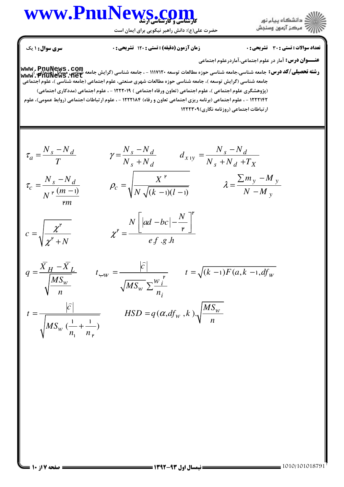#### كارشناسي و كارشناسي ارشد **[www.PnuNews.com](http://www.PnuNews.com)**

حضرت علي(ع): دانش راهبر نيكويي براي ايمان است



**عنــــوان درس:** آمار در علوم اجتماعی،آماردرعلوم اجتماعی

تعداد سوالات : تستي تشريحي زمان آزمون (دقيقه) : تستي تشريحي سري سوال & % (: %)(: ( '(: : :

 $c = \sqrt{ }$ 

χ

ر<br>بار

+

χ

\_<br>}

**www , PnuNews , COm**<br>ر**شته تحصیلی/کد درس:** جامعه شناسی،جامعه شناسی حوزه مطالعات توسعه ۱۱۱۷۱۲۰ - ، جامعه شناسی (گرایش جامعه شباسی مسائل جامعه شناسي (گرايش توسعه )، جامعه شناسي حوزه مطالعات شهري صنعتي، علوم اجتماعي (جامعه شناسي )، علوم اجتماعي (پژوهشگری علوم اجتماعی )، علوم اجتماعی (تعاون ورفاه اجتماعی ) ۱۲۲۲۰۱۹ - ، علوم اجتماعی (مددکاری اجتماعی) ۱۲۲۲۱۴۲ - ، علوم اجتماعی (برنامه ریزی اجتماعی تعاون و رفاه) ۱۲۲۲۱۸۴ - ، علوم ارتباطات اجتماعی (روابط عمومی)، علوم ار تباطات اجتماعی (روزنامه نگاری) ۱۲۲۲۳۰۹ **[www.PnuNews.net](http://pnunews.net)**

$$
\tau_a = \frac{N_s - N_d}{T} \qquad \gamma = \frac{N_s - N_d}{N_s + N_d} \qquad d_{x \, iy} = \frac{N_s - N_d}{N_s + N_d + T_X}
$$
\n
$$
\tau_c = \frac{N_s - N_d}{N^{\nu} \left(\frac{m - 1}{m}\right)} \qquad \rho_c = \sqrt{\frac{X^{\nu}}{N \sqrt{(k - 1)(l - 1)}}} \qquad \lambda = \frac{\sum m_y - M_y}{N - M_y}
$$

$$
=\sqrt{\frac{\chi^{\mathsf{P}}}{\chi^{\mathsf{P}}+N}}\qquad \qquad \chi^{\mathsf{P}}=\frac{N\left[|ad-bc|-\frac{N}{\mathsf{P}}\right]}{ef\cdot g\cdot h}
$$

$$
q = \frac{\overline{X}_{H} - \overline{X}_{L}}{\sqrt{\frac{MS_{w}}{n}}} \qquad t_{\leftarrow w} = \frac{|\hat{c}|}{\sqrt{MS_{w} \sum_{i=1}^{w} \sum_{i=1}^{n} r}} \qquad t = \sqrt{(k-1)F(a, k-1, df_{w})}
$$
\n
$$
t = \frac{|\hat{c}|}{\sqrt{MS_{w} \sum_{i=1}^{n} \sum_{i=1}^{n} r}} \qquad HSD = q(\alpha, df_{w}, k) \cdot \sqrt{\frac{MS_{w}}{n}}
$$

$$
t = \frac{P}{\sqrt{MS_w(\frac{1}{n_1} + \frac{1}{n_v})}}
$$
  $HSD = q(\alpha, df_w, k).\sqrt{\frac{MS}{n}}$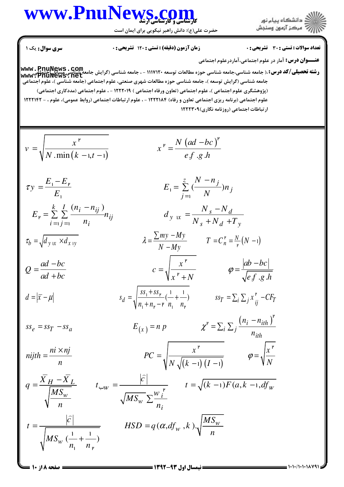حضرت علی(ع): دانش راهبر نیکویی برای ایمان است

زمان آزمون (دقيقه) : تستى



تعداد سوالات : تستى : 30 - تشريحي : 0

**عنـــوان درس:** آمار در علوم اجتماعي،آماردرعلوم اجتماعي www:PnuNews:net جامعه شناسی (گرایش توسعه )، جامعه شناسی حوزه مطالعات شهری صنعتی، علوم اجتماعی (جامعه شناسی )، علوم اجتماعی (پژوهشگری علوم اجتماعی )، علوم اجتماعی (تعاون ورفاه اجتماعی ) ۱۲۲۲۰۱۹ - ، علوم اجتماعی (مددکاری اجتماعی) علوم اجتماعی (برنامه ریزی اجتماعی تعاون و رفاه) ۱۲۲۲۱۸۴ - ، علوم ارتباطات اجتماعی (روابط عمومی)، علوم ، - ۱۲۲۲۱۴۲ ار تباطات اجتماعی (روزنامه نگاری) ۱۲۲۲۳۰۹

$$
v = \sqrt{\frac{x^{\nu}}{N \cdot \min(k - i, t - i)}} \qquad x^{\nu} = \frac{N (ad - bc)^{\nu}}{e f g h}
$$
\n
$$
\tau y = \frac{E_{1} - E_{\nu}}{E_{1}} \qquad E_{1} = \sum_{j=1}^{z} \frac{(N - n_{j})}{N} n_{j}
$$
\n
$$
E_{\nu} = \sum_{i=1}^{k} \sum_{j=1}^{l} \frac{(n_{i} - n_{ij})}{n_{i}} n_{ij} \qquad d_{y w} = \frac{N_{s} - N_{d}}{N_{s} + N_{d} + T_{y}}
$$
\n
$$
\tau_{b} = \sqrt{d_{y w} \times d_{x y}} \qquad \lambda = \frac{\sum_{j=1}^{m} \sum_{j=1}^{M} (N - 1)}{N - My} \qquad T = C_{n}^{\prime} = \frac{N}{\nu} (N - 1)
$$
\n
$$
Q = \frac{ad - bc}{ad + bc} \qquad c = \sqrt{\frac{x^{\nu}}{x^{\nu} + N}} \qquad \varphi = \frac{|ab - bc|}{\sqrt{e f g h}}
$$
\n
$$
d = |\overline{x} - \mu| \qquad s_{d} = \sqrt{\frac{ss_{1} + ss_{\nu}}{n_{1} + n_{\nu} - r_{n_{1}} + \frac{1}{n_{\nu}}}} \qquad ss_{T} = \sum_{i} \sum_{j} x_{ij}^{\nu} - CF_{T}
$$
\n
$$
s_{\varepsilon} = ss_{T} - ss_{a} \qquad E_{(x)} = n p \qquad \chi^{\nu} = \sum_{i} \sum_{j} \frac{(n_{i} - n_{ih})^{\nu}}{n_{ih}}
$$
\n
$$
q = \frac{\overline{X}_{H} - \overline{X}_{L}}{\sqrt{\frac{MS_{w}}{n}}} \qquad t_{\omega w} = \frac{\left|\overline{c}\right|}{\sqrt{MS_{w} \sum \frac{w_{i}^{\nu}}{n_{i}}}} \qquad t = \sqrt{(k - 1)F(a, k - 1, df_{w})}
$$
\n
$$
t = \frac{\left|\overline{c}\right|}{\sqrt{MS_{w} \left(\frac{1}{n_{1}} + \frac{1}{n_{\nu}}\right)}} \qquad \text{HSD} = q(\alpha, df_{w}, k) \sqrt{\frac{MS_{w}}{n}}
$$

 $= 1.1.11.111141$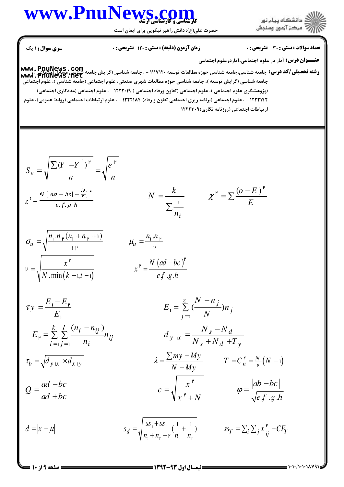حضرت علی(ع): دانش راهبر نیکویی برای ایمان است



**عنـــوان درس:** آمار در علوم اجتماعي،آماردرعلوم اجتماعي www ، PnuNews ، Com<br>و**شته تحصیلی/کد درس:** جامعه شناسی،جامعه شناسی حوزه مطالعات توسعه ۱۱۱۷۱۲۰ - ، جامعه شناسی (گرایش جامعه شناسی مسائل<br>Www ، PnuNews ، net<br>یامعه شناسی به علوم اجتماعی (گرایش توسعه )، جامعه شناسی حوزه مطالعا

(پژوهشگری علوم اجتماعی )، علوم اجتماعی (تعاون ورفاه اجتماعی ) ۱۲۲۲۰۱۹ - ، علوم اجتماعی (مددکاری اجتماعی) ۱۲۲۲۱۴۲ - ، علوم اجتماعی (برنامه ریزی اجتماعی تعاون و رفاه) ۱۲۲۲۱۸۴ - ، علوم ارتباطات اجتماعی (روابط عمومی)، علوم ارتباطات اجتماعی (روزنامه نگاری) ۱۲۲۲۳۰۹

$$
S_e = \sqrt{\frac{\sum (Y - Y^{\dagger})^{\mathfrak{p}}}{n}} = \sqrt{\frac{e^{\mathfrak{p}}}{n}}
$$
  

$$
\chi^{\mathfrak{r}} = \frac{N \left[ |ad - bc| - \frac{N}{\tau} \right]^{\mathfrak{r}}}{e \cdot f \cdot g \cdot h}
$$
  

$$
N = \frac{k}{\sum_{n_i}^{1}} \qquad \chi^{\mathfrak{p}} = \sum \frac{(o - E)^{\mathfrak{p}}}{E}
$$

$$
\sigma_{u} = \sqrt{\frac{n_{1} . n_{\nu} (n_{1} + n_{\nu} + 1)}{1 \nu}} \qquad \qquad \mu_{u} = \frac{n_{1} . n_{\nu}}{\nu}
$$
\n
$$
v = \sqrt{\frac{x^{\nu}}{N . \min(k - 1, t - 1)}} \qquad \qquad x^{\nu} = \frac{N (ad - bc)^{\nu}}{e f . g . h}
$$

$$
\tau y = \frac{E_1 - E_\nu}{E_1}
$$
\n
$$
E_1 = \sum_{j=1}^{z} \frac{(N - n_j)}{N} n_j
$$
\n
$$
E_r = \sum_{i=1}^{k} \sum_{j=1}^{l} \frac{(n_i - n_{ij})}{n_i} n_{ij}
$$
\n
$$
d_{y \text{ in}}} \qquad d_{y \text{ in}}} \qquad d_{y \text{ in}}} \qquad d_{y \text{ in}}} \qquad d_{y \text{ in}}} \qquad d_{y \text{ in}}} \qquad d_{y \text{ in}}} \qquad d_{y \text{ in}}} \qquad d_{y \text{ in}}} \qquad d_{y \text{ in}}} \qquad d_{y \text{ in}}} \qquad d_{y \text{ in}}} \qquad d_{y \text{ in}}} \qquad d_{y \text{ in}}} \qquad d_{y \text{ in}}} \qquad d_{y \text{ in}}} \qquad d_{y \text{ in}}} \qquad d_{y \text{ in}}} \qquad d_{y \text{ in}}} \qquad d_{y \text{ in}}} \qquad d_{y \text{ in}}} \qquad d_{y \text{ in}}} \qquad d_{y \text{ in}}} \qquad d_{y \text{ in}}} \qquad d_{y \text{ in}}} \qquad d_{y \text{ in}}} \qquad d_{y \text{ in}}} \qquad d_{y \text{ in}}} \qquad d_{y \text{ in}}} \qquad d_{y \text{ in}}} \qquad d_{y \text{ in}}} \qquad d_{y \text{ in}}} \qquad d_{y \text{ in}}} \qquad d_{y \text{ in}}} \qquad d_{y \text{ in}}} \qquad d_{y \text{ in}}} \qquad d_{y \text{ in}}} \qquad d_{y \text{ in}}} \qquad d_{y \text{ in}}} \qquad d_{y \text{ in}}} \qquad d_{y \text{ in}}} \qquad d_{y \text{ in}}} \qquad d_{y \text{ in}}} \qquad d_{y \text{ in}}} \qquad d_{y \text{ in}}} \qquad d_{y \text{ in}}} \qquad d_{y \text{ in}}} \qquad d_{y \text{ in}}} \qquad d_{y \text{ in}}} \qquad d_{y \text{ in}}} \qquad d_{y \text{ in}}} \qquad d_{y \text{ in}}} \qquad d_{y \text{ in}}} \qquad d_{y \text{ in}}} \qquad d_{y \text{ in}}} \qquad d_{y \text{ in}}} \qquad d_{y \text{ in}}} \qquad d_{y \text{ in}}} \qquad d_{y \text{ in
$$

$$
d = |\bar{x} - \mu| \qquad s_d = \sqrt{\frac{ss_1 + ss_1}{n_1 + n_2 - r} (\frac{1}{n_1} + \frac{1}{n_2})} \qquad ss_T = \sum_i \sum_j x_{ij}^r - CF_T
$$

 $E_{\nu} =$ 

 $-1)$